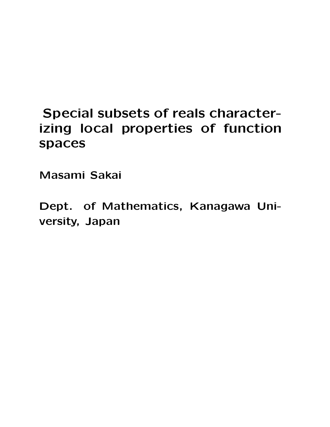## zing local properties of function **izing local properties of function spaces**

Masami Sakai **Masami Sakai**

**Dept. of Mathematics, Kanagawa University, Japan**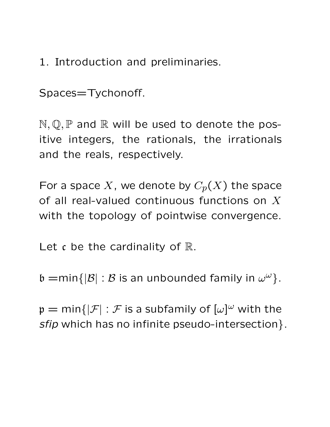1. Introduction and preliminaries.

Spaces=Tychonoff.

 $N, Q, P$  and  $R$  will be used to denote the positive integers, the rationals, the irrationals and the reals, respectively.

For a space X, we denote by  $C_p(X)$  the space of all real-valued continuous functions on  $X$ with the topology of pointwise convergence.

Let  $\mathfrak c$  be the cardinality of  $\mathbb R$ .

 $\mathfrak{b} = \min\{|\mathcal{B}| : \mathcal{B}$  is an unbounded family in  $\omega^{\omega}\}.$ 

 $\mathfrak{p}=\mathsf{min}\{|\mathcal{F}|:\mathcal{F}\text{ is a subfamily of }[\omega]^\omega\text{ with the }\mathcal{F}\}$ *sfip* which has no infinite pseudo-intersection}.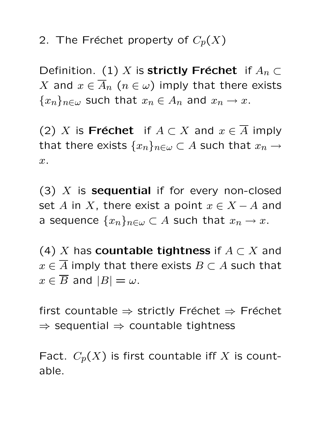2. The Fréchet property of  $C_p(X)$ 

Definition. (1) X is **strictly Fréchet** if  $A_n \subset$ X and  $x \in \overline{A}_n$   $(n \in \omega)$  imply that there exists  ${x_n}_{n\in\omega}$  such that  $x_n\in A_n$  and  $x_n\to x$ .

(2) X is **Fréchet** if  $A \subset X$  and  $x \in \overline{A}$  imply that there exists  $\{x_n\}_{n\in\omega}\subset A$  such that  $x_n\to$ x.

(3) <sup>X</sup> is **sequential** if for every non-closed set A in X, there exist a point  $x \in X - A$  and a sequence  $\{x_n\}_{n\in\omega}\subset A$  such that  $x_n\to x$ .

(4) <sup>X</sup> has **countable tightness** if <sup>A</sup> <sup>⊂</sup> <sup>X</sup> and  $x \in \overline{A}$  imply that there exists  $B \subset A$  such that  $x \in \overline{B}$  and  $|B| = \omega$ .

first countable  $\Rightarrow$  strictly Fréchet  $\Rightarrow$  Fréchet  $\Rightarrow$  sequential  $\Rightarrow$  countable tightness

Fact.  $C_p(X)$  is first countable iff X is countable.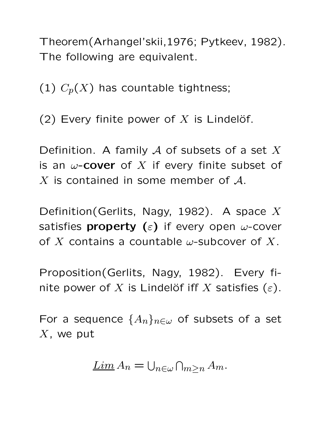Theorem(Arhangel'skii,1976; Pytkeev, 1982). The following are equivalent.

(1)  $C_p(X)$  has countable tightness;

(2) Every finite power of X is Lindelöf.

Definition. A family  $A$  of subsets of a set X is an  $\omega$ -**cover** of X if every finite subset of  $X$  is contained in some member of  $A$ .

Definition(Gerlits, Nagy, 1982). A space X satisfies **property (**ε**)** if every open <sup>ω</sup>-cover of X contains a countable  $\omega$ -subcover of X.

Proposition(Gerlits, Nagy, 1982). Every finite power of X is Lindelöf iff X satisfies  $(\varepsilon)$ .

For a sequence  $\{A_n\}_{n\in\omega}$  of subsets of a set  $X$ , we put

$$
\underline{\operatorname{Lim}}\, A_n = \bigcup_{n \in \omega} \bigcap_{m \geq n} A_m.
$$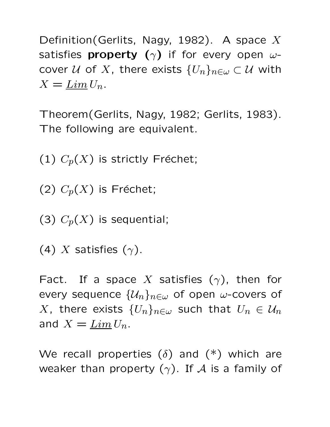Definition(Gerlits, Nagy, 1982). A space  $X$ satisfies **property** ( $\gamma$ ) if for every open  $\omega$ cover U of X, there exists  $\{U_n\}_{n\in\omega}\subset\mathcal{U}$  with  $X = \underline{Lim} U_n$ .

Theorem(Gerlits, Nagy, 1982; Gerlits, 1983). The following are equivalent.

(1)  $C_p(X)$  is strictly Fréchet;

(2)  $C_p(X)$  is Fréchet;

(3)  $C_p(X)$  is sequential;

(4) X satisfies  $(\gamma)$ .

Fact. If a space X satisfies  $(\gamma)$ , then for every sequence  $\{\mathcal{U}_n\}_{n\in\omega}$  of open  $\omega$ -covers of X, there exists  $\{U_n\}_{n\in\omega}$  such that  $U_n\in\mathcal{U}_n$ and  $X = \underline{Lim} U_n$ .

We recall properties  $(\delta)$  and  $(*)$  which are weaker than property  $(\gamma)$ . If A is a family of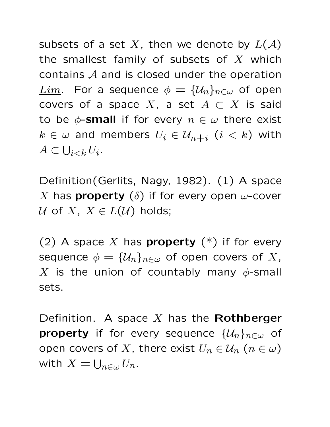subsets of a set X, then we denote by  $L(\mathcal{A})$ the smallest family of subsets of  $X$  which contains A and is closed under the operation  $Lim$ . For a sequence  $\phi = {\mathcal{U}_n}_{n \in \omega}$  of open covers of a space X, a set  $A \subset X$  is said to be  $\phi$ -**small** if for every  $n \in \omega$  there exist  $k \in \omega$  and members  $U_i \in \mathcal{U}_{n+i}$   $(i < k)$  with  $A \subset \bigcup_{i < k} U_i.$ 

Definition(Gerlits, Nagy, 1982). (1) A space X has **property**  $(\delta)$  if for every open  $\omega$ -cover U of X,  $X \in L(U)$  holds;

(2) A space <sup>X</sup> has **property** (\*) if for every sequence  $\phi = {\mathcal{U}_n}_{n \in \omega}$  of open covers of X, X is the union of countably many  $\phi$ -small sets.

Definition. A space <sup>X</sup> has the **Rothberger property** if for every sequence  $\{\mathcal{U}_n\}_{n\in\omega}$  of open covers of X, there exist  $U_n \in \mathcal{U}_n$   $(n \in \omega)$ with  $X = \bigcup_{n \in \omega} U_n$ .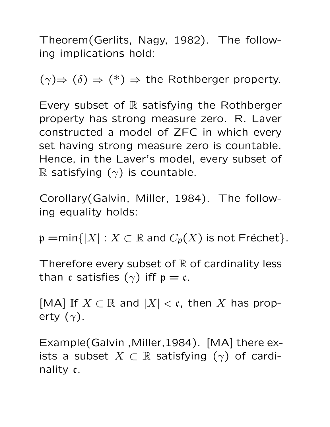Theorem(Gerlits, Nagy, 1982). The following implications hold:

 $(\gamma) \Rightarrow (\delta) \Rightarrow (*) \Rightarrow$  the Rothberger property.

Every subset of  $\mathbb R$  satisfying the Rothberger property has strong measure zero. R. Laver constructed a model of ZFC in which every set having strong measure zero is countable. Hence, in the Laver's model, every subset of R satisfying  $(\gamma)$  is countable.

Corollary(Galvin, Miller, 1984). The following equality holds:

 $\mathfrak{p} = \min\{|X| : X \subset \mathbb{R}$  and  $C_p(X)$  is not Fréchet}.

Therefore every subset of  $\mathbb R$  of cardinality less than c satisfies  $(\gamma)$  iff  $p = c$ .

[MA] If  $X \subset \mathbb{R}$  and  $|X| < \mathfrak{c}$ , then X has property  $(\gamma)$ .

Example(Galvin ,Miller,1984). [MA] there exists a subset  $X \subset \mathbb{R}$  satisfying  $(\gamma)$  of cardinality c.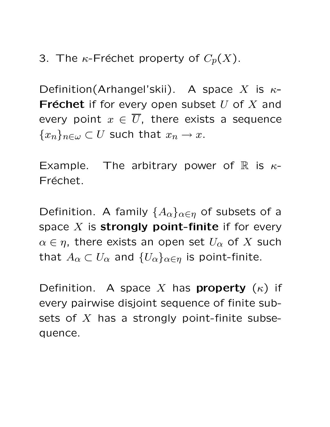3. The  $\kappa$ -Fréchet property of  $C_p(X)$ .

Definition(Arhangel'skii). A space <sup>X</sup> is <sup>κ</sup>**-Fréchet** if for every open subset  $U$  of  $X$  and every point  $x \in \overline{U}$ , there exists a sequence  ${x_n}_{n\in\omega} \subset U$  such that  $x_n \to x$ .

Example. The arbitrary power of R is  $\kappa$ -Fréchet.

Definition. A family  $\{A_{\alpha}\}_{{\alpha}\in{\eta}}$  of subsets of a space <sup>X</sup> is **strongly point-finite** if for every  $\alpha \in \eta$ , there exists an open set  $U_{\alpha}$  of X such that  $A_{\alpha} \subset U_{\alpha}$  and  $\{U_{\alpha}\}_{{\alpha \in \eta}}$  is point-finite.

Definition. A space X has **property**  $(\kappa)$  if every pairwise disjoint sequence of finite subsets of  $X$  has a strongly point-finite subsequence.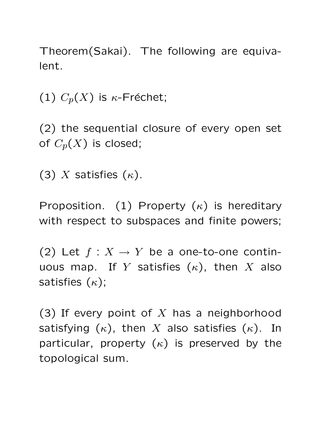Theorem(Sakai). The following are equivalent.

(1)  $C_p(X)$  is  $\kappa$ -Fréchet;

(2) the sequential closure of every open set of  $C_p(X)$  is closed;

(3) X satisfies  $(\kappa)$ .

Proposition. (1) Property  $(\kappa)$  is hereditary with respect to subspaces and finite powers;

(2) Let  $f: X \to Y$  be a one-to-one continuous map. If Y satisfies  $(\kappa)$ , then X also satisfies  $(\kappa)$ ;

(3) If every point of  $X$  has a neighborhood satisfying  $(\kappa)$ , then X also satisfies  $(\kappa)$ . In particular, property  $(\kappa)$  is preserved by the topological sum.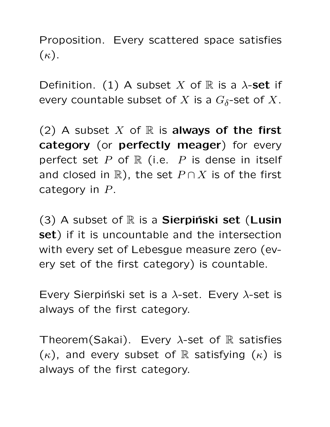Proposition. Every scattered space satisfies  $(\kappa).$ 

Definition. (1) A subset X of  $\mathbb R$  is a  $\lambda$ -set if every countable subset of X is a  $G_{\delta}$ -set of X.

(2) A subset  $X$  of  $\mathbb R$  is **always of the first category** (or **perfectly meager**) for every perfect set  $P$  of  $\mathbb R$  (i.e.  $P$  is dense in itself and closed in  $\mathbb{R}$ ), the set  $P \cap X$  is of the first category in  $P$ .

(3) A subset of R is a **Sierpiński set** (Lusin **set**) if it is uncountable and the intersection with every set of Lebesgue measure zero (every set of the first category) is countable.

Every Sierpiński set is a  $\lambda$ -set. Every  $\lambda$ -set is always of the first category.

Theorem(Sakai). Every  $\lambda$ -set of R satisfies  $(\kappa)$ , and every subset of R satisfying  $(\kappa)$  is always of the first category.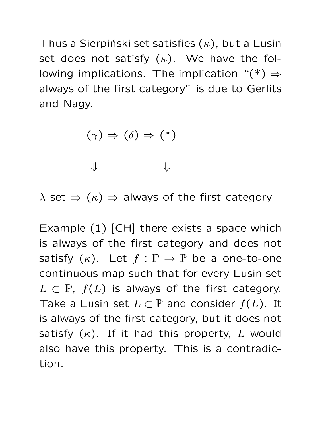Thus a Sierpiński set satisfies  $(\kappa)$ , but a Lusin set does not satisfy  $(\kappa)$ . We have the following implications. The implication " $(*) \Rightarrow$ always of the first category" is due to Gerlits and Nagy.

$$
(\gamma) \Rightarrow (\delta) \Rightarrow (*)
$$

 $\Downarrow$ 

 $\lambda$ -set  $\Rightarrow$   $(\kappa) \Rightarrow$  always of the first category

Example (1) [CH] there exists a space which is always of the first category and does not satisfy  $(\kappa)$ . Let  $f : \mathbb{P} \to \mathbb{P}$  be a one-to-one continuous map such that for every Lusin set  $L \subset \mathbb{P}$ ,  $f(L)$  is always of the first category. Take a Lusin set  $L \subset \mathbb{P}$  and consider  $f(L)$ . It is always of the first category, but it does not satisfy  $(\kappa)$ . If it had this property, L would also have this property. This is a contradiction.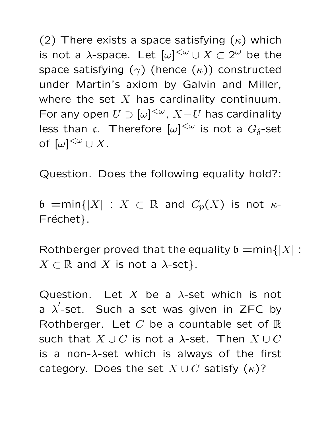(2) There exists a space satisfying  $(\kappa)$  which is not a  $\lambda$ -space. Let  $[\omega]^{<\omega}\cup X\subset 2^\omega$  be the space satisfying  $(\gamma)$  (hence  $(\kappa)$ ) constructed under Martin's axiom by Galvin and Miller, where the set  $X$  has cardinality continuum. For any open  $U \supset [\omega]^{<\omega}$ ,  $X-U$  has cardinality less than  $\mathfrak{c}$ . Therefore  $[\omega]^{<\omega}$  is not a  $G_\delta\text{-set}$ of  $[\omega]^{<\omega} \cup X$ .

Question. Does the following equality hold?:

 $\mathfrak{b}$  =min{|X| : X  $\subset \mathbb{R}$  and  $C_p(X)$  is not  $\kappa$ -Fréchet}.

Rothberger proved that the equality  $\mathfrak{b} = \min\{|X|:$  $X \subset \mathbb{R}$  and X is not a  $\lambda$ -set}.

Question. Let X be a  $\lambda$ -set which is not a  $\lambda'$ -set. Such a set was given in ZFC by Rothberger. Let  $C$  be a countable set of  $\mathbb R$ such that  $X \cup C$  is not a  $\lambda$ -set. Then  $X \cup C$ is a non- $\lambda$ -set which is always of the first category. Does the set  $X \cup C$  satisfy  $(\kappa)$ ?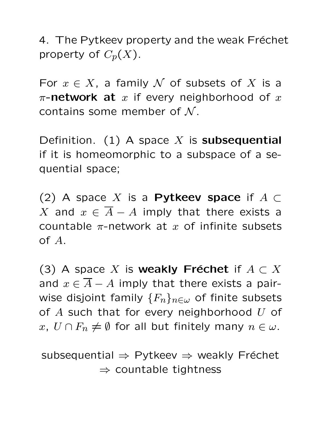4. The Pytkeev property and the weak Fréchet property of  $C_p(X)$ .

For  $x \in X$ , a family N of subsets of X is a  $\pi$ -network at x if every neighborhood of x contains some member of  $N$ .

Definition. (1) A space <sup>X</sup> is **subsequential** if it is homeomorphic to a subspace of a sequential space;

(2) A space <sup>X</sup> is a **Pytkeev space** if <sup>A</sup> <sup>⊂</sup> X and  $x \in \overline{A} - A$  imply that there exists a countable  $\pi$ -network at  $x$  of infinite subsets of A.

(3) A space X is **weakly Fréchet** if  $A \subset X$ and  $x \in \overline{A} - A$  imply that there exists a pairwise disjoint family  ${F_n}_{n\in\omega}$  of finite subsets of  $A$  such that for every neighborhood  $U$  of x,  $U \cap F_n \neq \emptyset$  for all but finitely many  $n \in \omega$ .

subsequential  $\Rightarrow$  Pytkeev  $\Rightarrow$  weakly Fréchet  $\Rightarrow$  countable tightness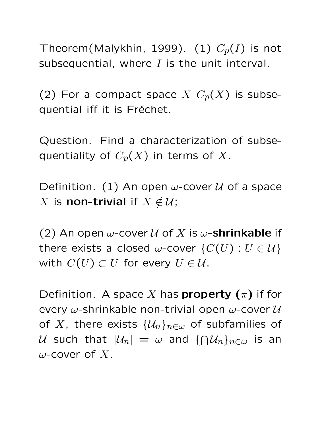Theorem(Malykhin, 1999). (1)  $C_p(I)$  is not subsequential, where  $I$  is the unit interval.

(2) For a compact space  $X$   $C_p(X)$  is subsequential iff it is Fréchet.

Question. Find a characterization of subsequentiality of  $C_p(X)$  in terms of X.

Definition. (1) An open  $\omega$ -cover  $\mathcal U$  of a space X is **non-trivial** if  $X \notin U$ ;

(2) An open  $\omega$ -cover  $\mathcal U$  of  $X$  is  $\omega$ -**shrinkable** if there exists a closed  $\omega$ -cover  $\{C(U): U \in \mathcal{U}\}\$ with  $C(U) \subset U$  for every  $U \in \mathcal{U}$ .

Definition. A space X has **property**  $(\pi)$  if for every  $\omega$ -shrinkable non-trivial open  $\omega$ -cover  $\mathcal{U}$ of X, there exists  $\{\mathcal{U}_n\}_{n\in\omega}$  of subfamilies of  $\mathcal U$  such that  $|\mathcal U_n| \,=\, \omega$  and  $\{\bigcap \mathcal U_n\}_{n\in\omega}$  is an  $\omega$ -cover of X.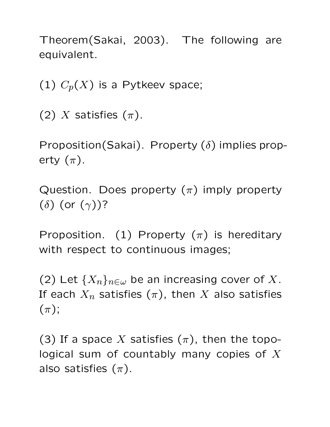Theorem(Sakai, 2003). The following are equivalent.

(1)  $C_p(X)$  is a Pytkeev space;

(2) X satisfies  $(\pi)$ .

Proposition(Sakai). Property  $(\delta)$  implies property  $(\pi)$ .

Question. Does property  $(\pi)$  imply property ( $\delta$ ) (or  $(\gamma)$ )?

Proposition. (1) Property  $(\pi)$  is hereditary with respect to continuous images;

(2) Let  ${X_n}_{n\in\omega}$  be an increasing cover of X. If each  $X_n$  satisfies  $(\pi)$ , then X also satisfies  $(\pi)$ ;

(3) If a space X satisfies  $(\pi)$ , then the topological sum of countably many copies of  $X$ also satisfies  $(\pi)$ .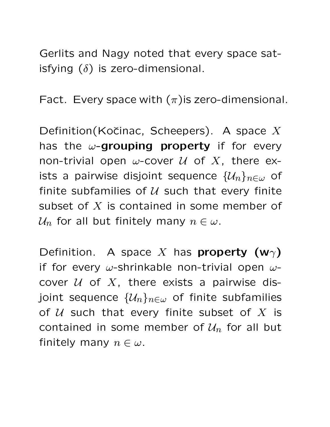Gerlits and Nagy noted that every space satisfying  $(\delta)$  is zero-dimensional.

Fact. Every space with  $(\pi)$  is zero-dimensional.

Definition(Kočinac, Scheepers). A space  $X$ has the <sup>ω</sup>**-grouping property** if for every non-trivial open  $\omega$ -cover  $\mathcal U$  of  $X$ , there exists a pairwise disjoint sequence  $\{\mathcal{U}_n\}_{n\in\omega}$  of finite subfamilies of  $U$  such that every finite subset of X is contained in some member of  $\mathcal{U}_n$  for all but finitely many  $n \in \omega$ .

Definition. A space X has **property (w** $\gamma$ ) if for every  $\omega$ -shrinkable non-trivial open  $\omega$ cover  $U$  of  $X$ , there exists a pairwise disjoint sequence  $\{\mathcal{U}_n\}_{n\in\omega}$  of finite subfamilies of  $U$  such that every finite subset of  $X$  is contained in some member of  $\mathcal{U}_n$  for all but finitely many  $n \in \omega$ .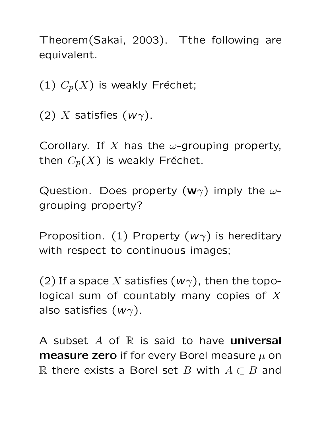Theorem(Sakai, 2003). Tthe following are equivalent.

(1)  $C_p(X)$  is weakly Fréchet;

(2) X satisfies  $(w\gamma)$ .

Corollary. If X has the  $\omega$ -grouping property, then  $C_p(X)$  is weakly Fréchet.

Question. Does property  $(\mathbf{w}\gamma)$  imply the  $\omega$ grouping property?

Proposition. (1) Property  $(w<sub>\gamma</sub>)$  is hereditary with respect to continuous images;

(2) If a space X satisfies  $(w\gamma)$ , then the topological sum of countably many copies of  $X$ also satisfies  $(w\gamma)$ .

A subset <sup>A</sup> of <sup>R</sup> is said to have **universal measure zero** if for every Borel measure <sup>μ</sup> on R there exists a Borel set B with  $A \subset B$  and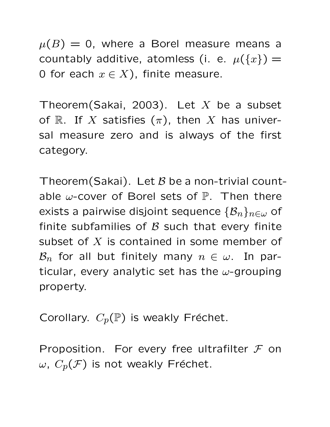$\mu(B) = 0$ , where a Borel measure means a countably additive, atomless (i. e.  $\mu({x}) =$ 0 for each  $x \in X$ ), finite measure.

Theorem(Sakai, 2003). Let  $X$  be a subset of R. If X satisfies  $(\pi)$ , then X has universal measure zero and is always of the first category.

Theorem(Sakai). Let  $B$  be a non-trivial countable  $\omega$ -cover of Borel sets of  $\mathbb P$ . Then there exists a pairwise disjoint sequence  $\{\mathcal{B}_n\}_{n\in\omega}$  of finite subfamilies of  $\beta$  such that every finite subset of  $X$  is contained in some member of  $\mathcal{B}_n$  for all but finitely many  $n \in \omega$ . In particular, every analytic set has the  $\omega$ -grouping property.

Corollary.  $C_p(\mathbb{P})$  is weakly Fréchet.

Proposition. For every free ultrafilter  $\mathcal F$  on  $ω$ ,  $C_p(\mathcal{F})$  is not weakly Fréchet.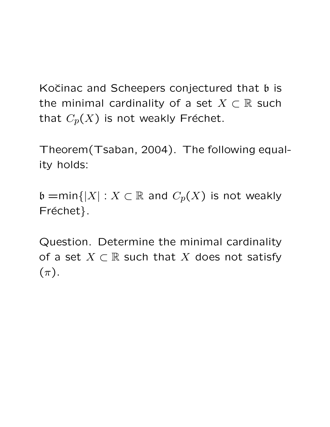Kočinac and Scheepers conjectured that  $\mathfrak b$  is the minimal cardinality of a set  $X \subset \mathbb{R}$  such that  $C_p(X)$  is not weakly Fréchet.

Theorem(Tsaban, 2004). The following equality holds:

 $\mathfrak{b} = \min\{|X| : X \subset \mathbb{R}$  and  $C_p(X)$  is not weakly Fréchet}.

Question. Determine the minimal cardinality of a set  $X \subset \mathbb{R}$  such that X does not satisfy  $(\pi).$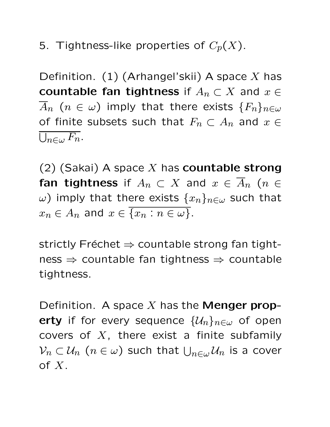5. Tightness-like properties of  $C_p(X)$ .

Definition.  $(1)$  (Arhangel'skii) A space X has **countable fan tightness** if  $A_n \subset X$  and  $x \in Y$  $A_n$   $(n \in \omega)$  imply that there exists  ${F_n}_{n \in \omega}$ of finite subsets such that  $F_n \subset A_n$  and  $x \in$  $\overline{\cup_{n\in\omega}F_n}.$ 

(2) (Sakai) A space <sup>X</sup> has **countable strong fan tightness** if  $A_n \subset X$  and  $x \in \overline{A}_n$  ( $n \in$ ω) imply that there exists  ${x_n}_{n∈ω}$  such that  $x_n \in A_n$  and  $x \in \{x_n : n \in \omega\}.$ 

strictly Fréchet  $\Rightarrow$  countable strong fan tight $ness \Rightarrow countable$  fan tightness  $\Rightarrow$  countable tightness.

Definition. A space <sup>X</sup> has the **Menger property** if for every sequence  $\{\mathcal{U}_n\}_{n\in\omega}$  of open covers of  $X$ , there exist a finite subfamily  $\mathcal{V}_n\subset\mathcal{U}_n$   $(n\in\omega)$  such that  $\bigcup_{n\in\omega}\mathcal{U}_n$  is a cover of  $X$ .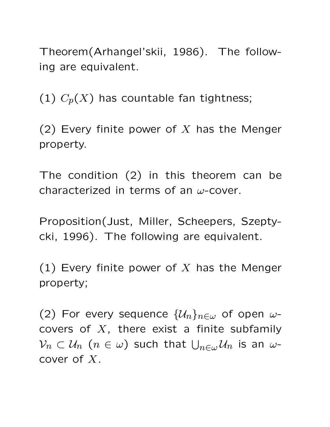Theorem(Arhangel'skii, 1986). The following are equivalent.

(1)  $C_p(X)$  has countable fan tightness;

(2) Every finite power of X has the Menger property.

The condition (2) in this theorem can be characterized in terms of an  $\omega$ -cover.

Proposition(Just, Miller, Scheepers, Szeptycki, 1996). The following are equivalent.

(1) Every finite power of X has the Menger property;

(2) For every sequence  $\{\mathcal{U}_n\}_{n\in\omega}$  of open  $\omega$ covers of  $X$ , there exist a finite subfamily  $\mathcal{V}_n\subset\mathcal{U}_n$   $(n\in\omega)$  such that  $\bigcup_{n\in\omega}\mathcal{U}_n$  is an  $\omega$ cover of X.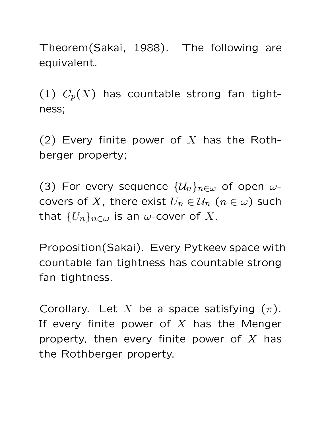Theorem(Sakai, 1988). The following are equivalent.

(1)  $C_p(X)$  has countable strong fan tightness;

(2) Every finite power of X has the Rothberger property;

(3) For every sequence  $\{\mathcal{U}_n\}_{n\in\omega}$  of open  $\omega$ covers of X, there exist  $U_n \in \mathcal{U}_n$   $(n \in \omega)$  such that  ${U_n}_{n\in\omega}$  is an  $\omega$ -cover of X.

Proposition(Sakai). Every Pytkeev space with countable fan tightness has countable strong fan tightness.

Corollary. Let X be a space satisfying  $(\pi)$ . If every finite power of  $X$  has the Menger property, then every finite power of  $X$  has the Rothberger property.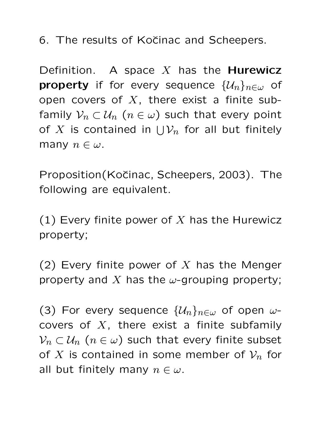6. The results of Kočinac and Scheepers.

Definition. A space <sup>X</sup> has the **Hurewicz property** if for every sequence  $\{\mathcal{U}_n\}_{n\in\omega}$  of open covers of  $X$ , there exist a finite subfamily  $\mathcal{V}_n \subset \mathcal{U}_n$   $(n \in \omega)$  such that every point of  $X$  is contained in  $\bigcup \mathcal{V}_n$  for all but finitely many  $n \in \omega$ .

Proposition(Kočinac, Scheepers, 2003). The following are equivalent.

(1) Every finite power of X has the Hurewicz property;

(2) Every finite power of X has the Menger property and X has the  $\omega$ -grouping property;

(3) For every sequence  $\{\mathcal{U}_n\}_{n\in\omega}$  of open  $\omega$ covers of  $X$ , there exist a finite subfamily  $V_n \subset \mathcal{U}_n$  ( $n \in \omega$ ) such that every finite subset of X is contained in some member of  $\mathcal{V}_n$  for all but finitely many  $n \in \omega$ .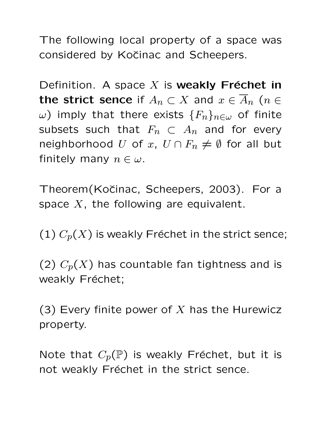The following local property of a space was considered by Kočinac and Scheepers.

Definition. A space  $X$  is **weakly Fréchet in the strict sence** if  $A_n \subset X$  and  $x \in \overline{A}_n$  ( $n \in \mathbb{Z}$ ω) imply that there exists  ${F_n}_{n∈ω}$  of finite subsets such that  $F_n \subset A_n$  and for every neighborhood U of x,  $U \cap F_n \neq \emptyset$  for all but finitely many  $n \in \omega$ .

Theorem(Kočinac, Scheepers, 2003). For a space  $X$ , the following are equivalent.

(1)  $C_p(X)$  is weakly Fréchet in the strict sence;

(2)  $C_p(X)$  has countable fan tightness and is weakly Fréchet;

(3) Every finite power of  $X$  has the Hurewicz property.

Note that  $C_p(\mathbb{P})$  is weakly Fréchet, but it is not weakly Fréchet in the strict sence.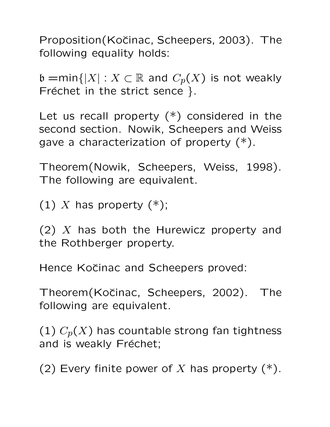Proposition(Kočinac, Scheepers, 2003). The following equality holds:

 $\mathfrak{b} = \min\{|X| : X \subset \mathbb{R}$  and  $C_p(X)$  is not weakly Fréchet in the strict sence }.

Let us recall property  $(*)$  considered in the second section. Nowik, Scheepers and Weiss gave a characterization of property (\*).

Theorem(Nowik, Scheepers, Weiss, 1998). The following are equivalent.

(1) X has property  $(*)$ ;

(2)  $X$  has both the Hurewicz property and the Rothberger property.

Hence Kočinac and Scheepers proved:

Theorem(Kočinac, Scheepers, 2002). The following are equivalent.

(1)  $C_p(X)$  has countable strong fan tightness and is weakly Fréchet;

(2) Every finite power of X has property  $(*)$ .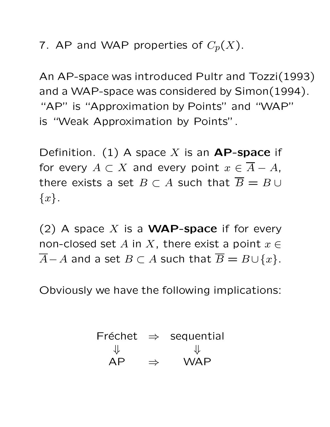7. AP and WAP properties of  $C_p(X)$ .

An AP-space was introduced Pultr and Tozzi(1993) and a WAP-space was considered by Simon(1994). "AP" is "Approximation by Points" and "WAP" is "Weak Approximation by Points".

Definition. (1) A space <sup>X</sup> is an **AP-space** if for every  $A \subset X$  and every point  $x \in \overline{A} - A$ , there exists a set  $B \subset A$  such that  $\overline{B} = B \cup$  $\{x\}.$ 

(2) A space <sup>X</sup> is a **WAP-space** if for every non-closed set A in X, there exist a point  $x \in$  $\overline{A}-A$  and a set  $B\subset A$  such that  $\overline{B}=B\cup\{x\}.$ 

Obviously we have the following implications:

| Fréchet |               | $\Rightarrow$ sequential |
|---------|---------------|--------------------------|
| JL      |               | JL                       |
| AP      | $\Rightarrow$ | <b>WAP</b>               |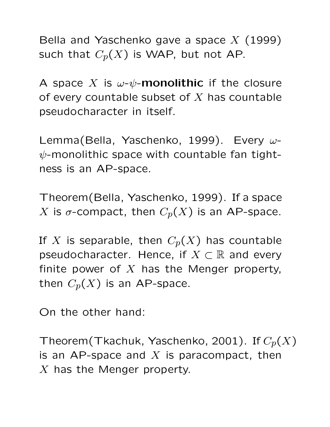Bella and Yaschenko gave a space  $X$  (1999) such that  $C_p(X)$  is WAP, but not AP.

A space X is  $\omega$ - $\psi$ -**monolithic** if the closure of every countable subset of  $X$  has countable pseudocharacter in itself.

Lemma(Bella, Yaschenko, 1999). Every ω- $\psi$ -monolithic space with countable fan tightness is an AP-space.

Theorem(Bella, Yaschenko, 1999). If a space X is  $\sigma$ -compact, then  $C_p(X)$  is an AP-space.

If X is separable, then  $C_p(X)$  has countable pseudocharacter. Hence, if  $X \subset \mathbb{R}$  and every finite power of  $X$  has the Menger property, then  $C_p(X)$  is an AP-space.

On the other hand:

Theorem(Tkachuk, Yaschenko, 2001). If  $C_p(X)$ is an AP-space and  $X$  is paracompact, then  $X$  has the Menger property.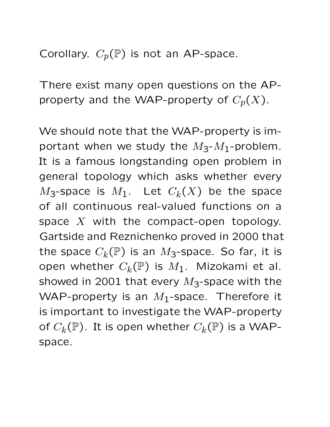Corollary.  $C_p(\mathbb{P})$  is not an AP-space.

There exist many open questions on the APproperty and the WAP-property of  $C_p(X)$ .

We should note that the WAP-property is important when we study the  $M_3$ - $M_1$ -problem. It is a famous longstanding open problem in general topology which asks whether every  $M_3$ -space is  $M_1$ . Let  $C_k(X)$  be the space of all continuous real-valued functions on a space  $X$  with the compact-open topology. Gartside and Reznichenko proved in 2000 that the space  $C_k(\mathbb{P})$  is an  $M_3$ -space. So far, it is open whether  $C_k(\mathbb{P})$  is  $M_1$ . Mizokami et al. showed in 2001 that every  $M_3$ -space with the WAP-property is an  $M_1$ -space. Therefore it is important to investigate the WAP-property of  $C_k(\mathbb{P})$ . It is open whether  $C_k(\mathbb{P})$  is a WAPspace.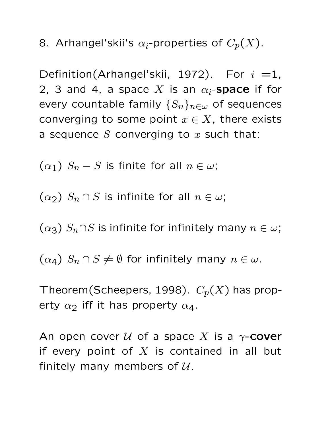8. Arhangel'skii's  $\alpha_i$ -properties of  $C_p(X)$ .

Definition(Arhangel'skii, 1972). For  $i = 1$ , 2, 3 and 4, a space X is an  $\alpha_i$ -**space** if for every countable family  $\{S_n\}_{n\in\omega}$  of sequences converging to some point  $x \in X$ , there exists a sequence  $S$  converging to  $x$  such that:

 $(\alpha_1)$   $S_n - S$  is finite for all  $n \in \omega$ ;

 $(\alpha_2)$   $S_n \cap S$  is infinite for all  $n \in \omega$ ;

 $(\alpha_3)$   $S_n \cap S$  is infinite for infinitely many  $n \in \omega$ ;

 $(\alpha_4)$   $S_n \cap S \neq \emptyset$  for infinitely many  $n \in \omega$ .

Theorem(Scheepers, 1998).  $C_p(X)$  has property  $\alpha_2$  iff it has property  $\alpha_4$ .

An open cover  $U$  of a space X is a  $\gamma$ -**cover** if every point of  $X$  is contained in all but finitely many members of  $U$ .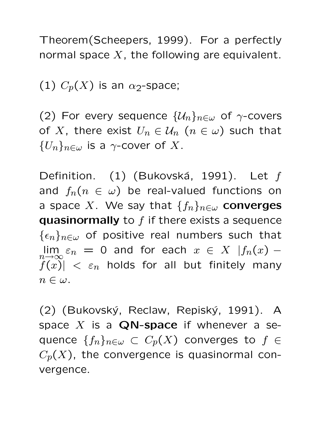Theorem(Scheepers, 1999). For a perfectly normal space  $X$ , the following are equivalent.

(1)  $C_p(X)$  is an  $\alpha_2$ -space;

(2) For every sequence  $\{\mathcal{U}_n\}_{n\in\omega}$  of  $\gamma$ -covers of X, there exist  $U_n \in \mathcal{U}_n$   $(n \in \omega)$  such that  ${U_n}_{n\in\omega}$  is a  $\gamma$ -cover of X.

Definition. (1) (Bukovská, 1991). Let  $f$ and  $f_n(n \in \omega)$  be real-valued functions on a space X. We say that  $\{f_n\}_{n\in\omega}$  converges **quasinormally** to  $f$  if there exists a sequence  $\{\epsilon_n\}_{n\in\omega}$  of positive real numbers such that lim  $\lim_{n\to\infty}\varepsilon_n = 0$  and for each  $x \in X$   $|f_n(x) |f(x)| < \varepsilon_n$  holds for all but finitely many  $n \in \omega$ .

(2) (Bukovský, Reclaw, Repiský, 1991). A space <sup>X</sup> is a **QN-space** if whenever a sequence  $\{f_n\}_{n\in\omega}\subset C_p(X)$  converges to  $f\in$  $C_p(X)$ , the convergence is quasinormal convergence.